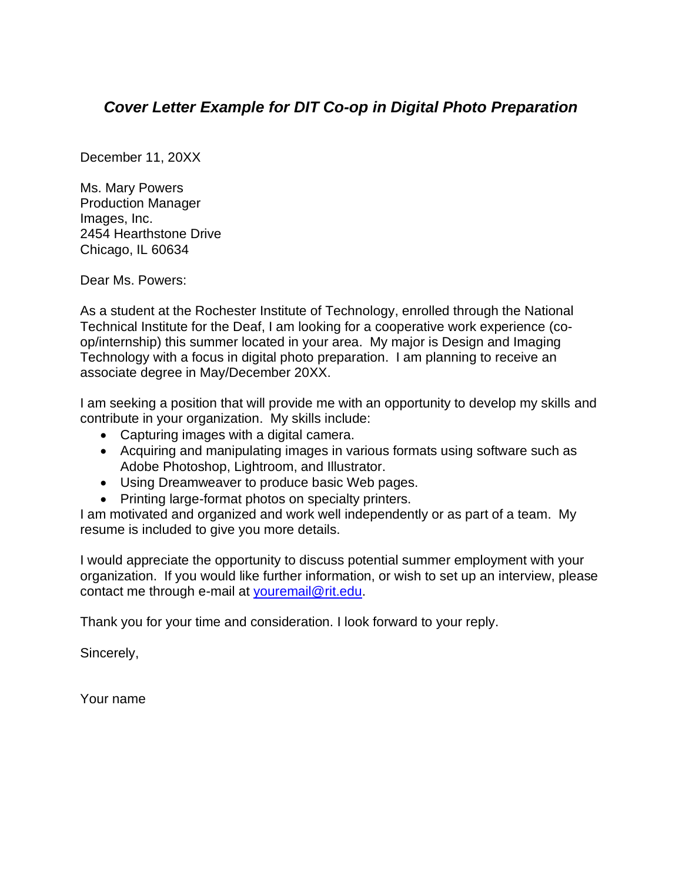## *Cover Letter Example for DIT Co-op in Digital Photo Preparation*

December 11, 20XX

Ms. Mary Powers Production Manager Images, Inc. 2454 Hearthstone Drive Chicago, IL 60634

Dear Ms. Powers:

As a student at the Rochester Institute of Technology, enrolled through the National Technical Institute for the Deaf, I am looking for a cooperative work experience (coop/internship) this summer located in your area. My major is Design and Imaging Technology with a focus in digital photo preparation. I am planning to receive an associate degree in May/December 20XX.

I am seeking a position that will provide me with an opportunity to develop my skills and contribute in your organization. My skills include:

- Capturing images with a digital camera.
- Acquiring and manipulating images in various formats using software such as Adobe Photoshop, Lightroom, and Illustrator.
- Using Dreamweaver to produce basic Web pages.
- Printing large-format photos on specialty printers.

I am motivated and organized and work well independently or as part of a team. My resume is included to give you more details.

I would appreciate the opportunity to discuss potential summer employment with your organization. If you would like further information, or wish to set up an interview, please contact me through e-mail at [youremail@rit.edu.](mailto:youremail@rit.edu)

Thank you for your time and consideration. I look forward to your reply.

Sincerely,

Your name